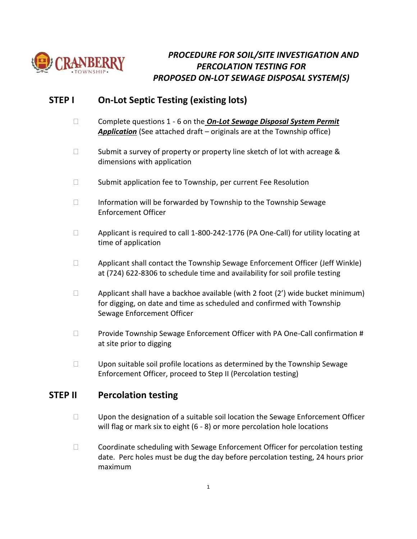

## *PROCEDURE FOR SOIL/SITE INVESTIGATION AND PERCOLATION TESTING FOR PROPOSED ON-LOT SEWAGE DISPOSAL SYSTEM(S)*

## **STEP I On-Lot Septic Testing (existing lots)**

- Complete questions 1 6 on the *On-Lot Sewage Disposal System Permit Application* (See attached draft – originals are at the Township office)
- $\Box$  Submit a survey of property or property line sketch of lot with acreage & dimensions with application
- $\Box$  Submit application fee to Township, per current Fee Resolution
- $\Box$  Information will be forwarded by Township to the Township Sewage Enforcement Officer
- □ Applicant is required to call 1-800-242-1776 (PA One-Call) for utility locating at time of application
- $\Box$  Applicant shall contact the Township Sewage Enforcement Officer (Jeff Winkle) at (724) 622-8306 to schedule time and availability for soil profile testing
- $\Box$  Applicant shall have a backhoe available (with 2 foot (2') wide bucket minimum) for digging, on date and time as scheduled and confirmed with Township Sewage Enforcement Officer
- **Provide Township Sewage Enforcement Officer with PA One-Call confirmation #** at site prior to digging
- $\square$  Upon suitable soil profile locations as determined by the Township Sewage Enforcement Officer, proceed to Step II (Percolation testing)

### **STEP II Percolation testing**

- $\Box$  Upon the designation of a suitable soil location the Sewage Enforcement Officer will flag or mark six to eight (6 - 8) or more percolation hole locations
- $\Box$  Coordinate scheduling with Sewage Enforcement Officer for percolation testing date. Perc holes must be dug the day before percolation testing, 24 hours prior maximum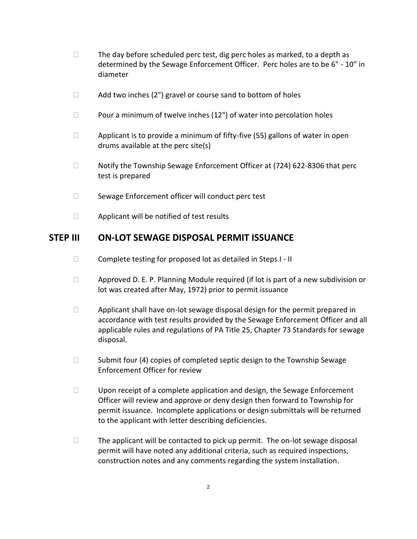- $\Box$  The day before scheduled perc test, dig perc holes as marked, to a depth as determined by the Sewage Enforcement Officer. Perc holes are to be 6" - 10" in diameter
- $\Box$  Add two inches (2") gravel or course sand to bottom of holes
- $\Box$  Pour a minimum of twelve inches (12") of water into percolation holes
- $\Box$  Applicant is to provide a minimum of fifty-five (55) gallons of water in open drums available at the perc site(s)
- □ Notify the Township Sewage Enforcement Officer at (724) 622-8306 that perc test is prepared
- $\Box$  Sewage Enforcement officer will conduct perc test
- $\Box$  Applicant will be notified of test results

#### **STEP III ON-LOT SEWAGE DISPOSAL PERMIT ISSUANCE**

- $\square$  Complete testing for proposed lot as detailed in Steps I II
- $\Box$  Approved D. E. P. Planning Module required (if lot is part of a new subdivision or lot was created after May, 1972) prior to permit issuance
- $\Box$  Applicant shall have on-lot sewage disposal design for the permit prepared in accordance with test results provided by the Sewage Enforcement Officer and all applicable rules and regulations of PA Title 25, Chapter 73 Standards for sewage disposal.
- $\Box$  Submit four (4) copies of completed septic design to the Township Sewage Enforcement Officer for review
- □ Upon receipt of a complete application and design, the Sewage Enforcement Officer will review and approve or deny design then forward to Township for permit issuance. Incomplete applications or design submittals will be returned to the applicant with letter describing deficiencies.
- $\Box$  The applicant will be contacted to pick up permit. The on-lot sewage disposal permit will have noted any additional criteria, such as required inspections, construction notes and any comments regarding the system installation.